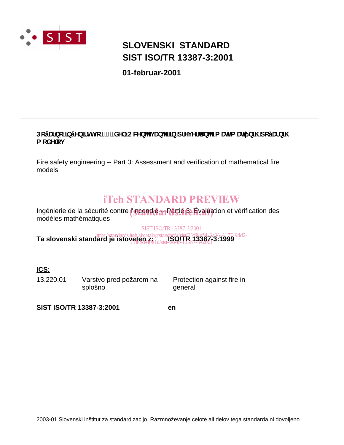

# **SIST ISO/TR 13387-3:2001 SLOVENSKI STANDARD**

**01-februar-2001**

# DcÿUfbc ]bÿYb]fghj c '!" "XY. CWYb^Yj Ub^Y']b dfYj Yf Ub^Y a UnYa Urj b]\ dcÿUfb]\ a cXY<sup>ci</sup>

Fire safety engineering -- Part 3: Assessment and verification of mathematical fire models

# iTeh STANDARD PREVIEW

Ingénierie de la sécurité contre *l'incendie a*n Partie Bi Évaluation et vérification des modèles mathématiques

SIST ISO/TR13387-3:2001

https://standards.iteh.ai/catalog/standards/sist/03f88e54-3a36-4177-9dd2-<br>**Ta slovenski standard je istoveten z: 1000/TR 23387-3:1999** 71f85d4f081c/sist-iso-tr-13387-3-2001

**ICS:**

13.220.01 Varstvo pred požarom na splošno

Protection against fire in general

**SIST ISO/TR 13387-3:2001 en**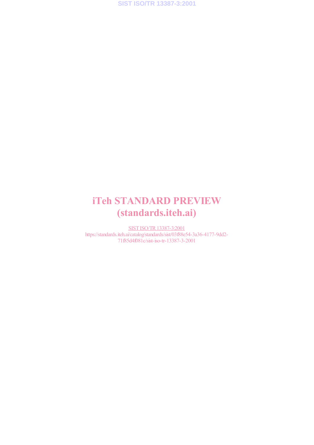**SIST ISO/TR 13387-3:2001**

# iTeh STANDARD PREVIEW (standards.iteh.ai)

SIST ISO/TR13387-3:2001 https://standards.iteh.ai/catalog/standards/sist/03f88e54-3a36-4177-9dd2- 71f85d4f081c/sist-iso-tr-13387-3-2001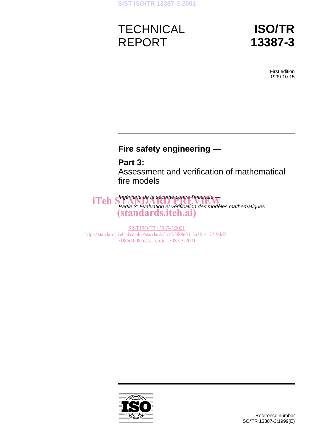# **TECHNICAL** REPORT

# **ISO/TR 13387-3**

First edition 1999-10-15

# **Fire safety engineering —**

# **Part 3:**

Assessment and verification of mathematical fire models

iTeh Shagénierie de la sécurité contre l'incendie Partie 3: Évaluation et vérification des modèles mathématiques (standards.iteh.ai)

SIST ISO/TR 13387-3:2001 https://standards.iteh.ai/catalog/standards/sist/03f88e54-3a36-4177-9dd2- 71f85d4f081c/sist-iso-tr-13387-3-2001

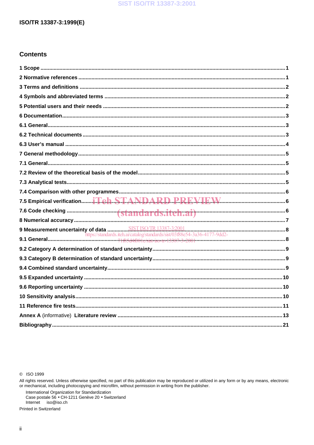# ISO/TR 13387-3:1999(E)

# **Contents**

C ISO 1999

All rights reserved. Unless otherwise specified, no part of this publication may be reproduced or utilized in any form or by any means, electronic or mechanical, including photocopying and microfilm, without permission in writing from the publisher.

International Organization for Standardization<br>Case postale 56 • CH-1211 Genève 20 • Switzerland Internet iso@iso.ch

Printed in Switzerland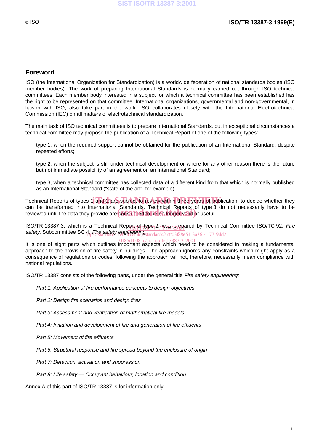### **Foreword**

ISO (the International Organization for Standardization) is a worldwide federation of national standards bodies (ISO member bodies). The work of preparing International Standards is normally carried out through ISO technical committees. Each member body interested in a subject for which a technical committee has been established has the right to be represented on that committee. International organizations, governmental and non-governmental, in liaison with ISO, also take part in the work. ISO collaborates closely with the International Electrotechnical Commission (IEC) on all matters of electrotechnical standardization.

The main task of ISO technical committees is to prepare International Standards, but in exceptional circumstances a technical committee may propose the publication of a Technical Report of one of the following types:

- type 1, when the required support cannot be obtained for the publication of an International Standard, despite repeated efforts;
- type 2, when the subject is still under technical development or where for any other reason there is the future but not immediate possibility of an agreement on an International Standard;
- type 3, when a technical committee has collected data of a different kind from that which is normally published as an International Standard ("state of the art", for example).

Technical Reports of types 1 and 2 are subject to review within three years of publication, to decide whether they can be transformed into International Standards. Technical Reports of type 3 do not necessarily have to be can be transformed into international standards. Technical Reports of type 3<br>reviewed until the data they provide are considered to be no longer valid or useful.

ISO/TR 13387-3, which is a Technical Report of type 2, was prepared by Technical Committee ISO/TC 92, Fire SO/TR 13387-3, which is a Technical Report-pl<sub>S</sub>type 4,3%8-32, engineering.<br>safety, Subcommittee SC 4, Fire safety engineering.tandards/sist/03f88es 4. Fire salety engineering<br>https://standards.iteh.ai/catalog/standards/sist/03f88e54-3a36-4177-9dd2-

71f85d4f081c/sist-iso-tr-13387-3-2001<br>It is one of eight parts which outlines important aspects which need to be considered in making a fundamental approach to the provision of fire safety in buildings. The approach ignores any constraints which might apply as a consequence of regulations or codes; following the approach will not, therefore, necessarily mean compliance with national regulations.

ISO/TR 13387 consists of the following parts, under the general title Fire safety engineering:

- Part 1: Application of fire performance concepts to design objectives
- Part 2: Design fire scenarios and design fires
- $-$  Part 3: Assessment and verification of mathematical fire models
- Part 4: Initiation and development of fire and generation of fire effluents
- Part 5: Movement of fire effluents
- Part 6: Structural response and fire spread beyond the enclosure of origin
- Part 7: Detection, activation and suppression
- $-$  Part 8: Life safety  $-$  Occupant behaviour, location and condition

Annex A of this part of ISO/TR 13387 is for information only.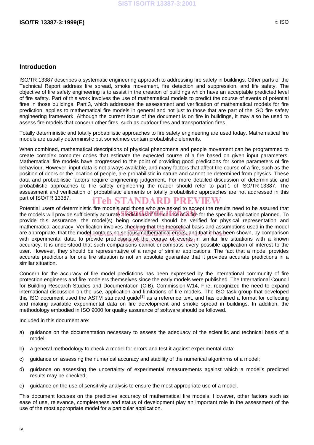# **Introduction**

ISO/TR 13387 describes a systematic engineering approach to addressing fire safety in buildings. Other parts of the Technical Report address fire spread, smoke movement, fire detection and suppression, and life safety. The objective of fire safety engineering is to assist in the creation of buildings which have an acceptable predicted level of fire safety. Part of this work involves the use of mathematical models to predict the course of events of potential fires in those buildings. Part 3, which addresses the assessment and verification of mathematical models for fire prediction, applies to mathematical fire models in general and not just to those that are part of the ISO fire safety engineering framework. Although the current focus of the document is on fire in buildings, it may also be used to assess fire models that concern other fires, such as outdoor fires and transportation fires.

Totally deterministic and totally probabilistic approaches to fire safety engineering are used today. Mathematical fire models are usually deterministic but sometimes contain probabilistic elements.

When combined, mathematical descriptions of physical phenomena and people movement can be programmed to create complex computer codes that estimate the expected course of a fire based on given input parameters. Mathematical fire models have progressed to the point of providing good predictions for some parameters of fire behaviour. However, input data is not always available, and many factors that affect the course of a fire, such as the position of doors or the location of people, are probabilistic in nature and cannot be determined from physics. These data and probabilistic factors require engineering judgement. For more detailed discussion of deterministic and probabilistic approaches to fire safety engineering the reader should refer to part 1 of ISO/TR 13387. The assessment and verification of probabilistic elements or totally probabilistic approaches are not addressed in this part of ISO/TR 13387. iTeh STANDARD PREVIEW

Potential users of deterministic fire models and those who are asked to accept the results need to be assured that Potential users of deterministic fire models and those who are asked to accept the results need to be assured that<br>the models will provide sufficiently accurate predictions of the course of a fire for the specific applicat provide this assurance, the model(s) being considered should be verified for physical representation and mathematical accuracy. Verification involves checking that the theoretical basis and assumptions used in the model are appropriate, that the model contains no serious mathematical errors, and that it has been shown, by comparison with experimental data, to provide predictions and the course of events in similar fire situations with a known accuracy. It is understood that such comparisons cannot encompass every possible application of interest to the user. However, they should be representative of a range of similar applications. The fact that a model provides accurate predictions for one fire situation is not an absolute guarantee that it provides accurate predictions in a similar situation.

Concern for the accuracy of fire model predictions has been expressed by the international community of fire protection engineers and fire modelers themselves since the early models were published. The International Council for Building Research Studies and Documentation (CIB), Commission W14, Fire, recognized the need to expand international discussion on the use, application and limitations of fire models. The ISO task group that developed this ISO document used the ASTM standard guide<sup>[1]</sup> as a reference text, and has outlined a format for collecting and making available experimental data on fire development and smoke spread in buildings. In addition, the methodology embodied in ISO 9000 for quality assurance of software should be followed.

Included in this document are:

- a) guidance on the documentation necessary to assess the adequacy of the scientific and technical basis of a model;
- b) a general methodology to check a model for errors and test it against experimental data;
- c) guidance on assessing the numerical accuracy and stability of the numerical algorithms of a model;
- d) guidance on assessing the uncertainty of experimental measurements against which a model's predicted results may be checked;
- e) guidance on the use of sensitivity analysis to ensure the most appropriate use of a model.

This document focuses on the predictive accuracy of mathematical fire models. However, other factors such as ease of use, relevance, completeness and status of development play an important role in the assessment of the use of the most appropriate model for a particular application.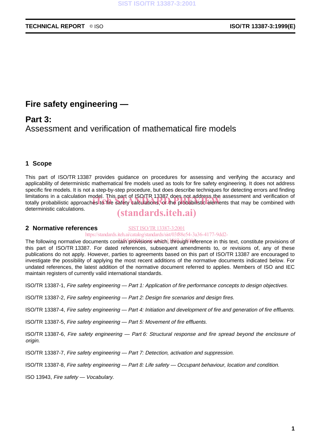# **Fire safety engineering —**

# **Part 3:**

Assessment and verification of mathematical fire models

# **1 Scope**

This part of ISO/TR 13387 provides guidance on procedures for assessing and verifying the accuracy and applicability of deterministic mathematical fire models used as tools for fire safety engineering. It does not address specific fire models. It is not a step-by-step procedure, but does describe techniques for detecting errors and finding limitations in a calculation model. This part of ISO/TR 13387 does not address the assessment and verification of limitations in a calculation model. This part of ISO/TR 13387 does not address the assessment and verification of<br>totally probabilistic approaches to fire safety calculations, or the probabilistic elements that may be comb deterministic calculations.

# (standards.iteh.ai)

#### **2 Normative references** SIST ISO/TR13387-3:2001

https://standards.iteh.ai/catalog/standards/sist/03f88e54-3a36-4177-9dd2-

The following normative documents contain provisions which, through reference in this text, constitute provisions of this part of ISO/TR 13387. For dated references, subsequent amendments to, or revisions of, any of these publications do not apply. However, parties to agreements based on this part of ISO/TR 13387 are encouraged to investigate the possibility of applying the most recent additions of the normative documents indicated below. For undated references, the latest addition of the normative document referred to applies. Members of ISO and IEC maintain registers of currently valid international standards.

ISO/TR 13387-1, Fire safety engineering — Part 1: Application of fire performance concepts to design objectives.

ISO/TR 13387-2, Fire safety engineering — Part 2: Design fire scenarios and design fires.

ISO/TR 13387-4, Fire safety engineering — Part 4: Initiation and development of fire and generation of fire effluents.

ISO/TR 13387-5, Fire safety engineering — Part 5: Movement of fire effluents.

ISO/TR 13387-6, Fire safety engineering — Part 6: Structural response and fire spread beyond the enclosure of origin.

ISO/TR 13387-7, Fire safety engineering — Part 7: Detection, activation and suppression.

ISO/TR 13387-8, Fire safety engineering — Part 8: Life safety — Occupant behaviour, location and condition.

ISO 13943, Fire safety — Vocabulary.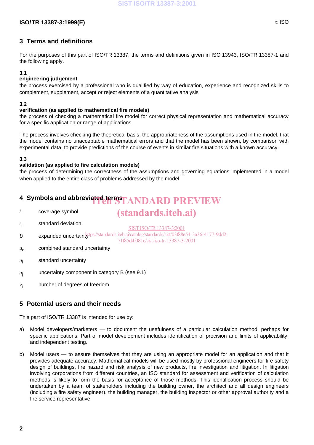### **SIST ISO/TR 13387-3:2001**

## **ISO/TR 13387-3:1999(E)** © ISO

# **3 Terms and definitions**

For the purposes of this part of ISO/TR 13387, the terms and definitions given in ISO 13943, ISO/TR 13387-1 and the following apply.

#### **3.1**

#### **engineering judgement**

the process exercised by a professional who is qualified by way of education, experience and recognized skills to complement, supplement, accept or reject elements of a quantitative analysis

#### **3.2**

#### **verification (as applied to mathematical fire models)**

the process of checking a mathematical fire model for correct physical representation and mathematical accuracy for a specific application or range of applications

The process involves checking the theoretical basis, the appropriateness of the assumptions used in the model, that the model contains no unacceptable mathematical errors and that the model has been shown, by comparison with experimental data, to provide predictions of the course of events in similar fire situations with a known accuracy.

#### **3.3**

#### **validation (as applied to fire calculation models)**

the process of determining the correctness of the assumptions and governing equations implemented in a model when applied to the entire class of problems addressed by the model

# **4 Symbols and abbreviated terms**  $T$  **ANDARD PREVIEW**

*k* coverage symbol

# (standards.iteh.ai)

- *s*<sup>i</sup> standard deviation
- U expanded uncertaintythes://standards.iteh.ai/catalog/standards/sist/03f88e54-3a36-4177-9dd2-SIST ISO/TR13387-3:2001

71f85d4f081c/sist-iso-tr-13387-3-2001

- *u<sub>c</sub>* combined standard uncertainty
- *u*<sup>i</sup> standard uncertainty
- $u_i$  uncertainty component in category B (see 9.1)
- *v*<sub>i</sub> number of degrees of freedom

# **5 Potential users and their needs**

This part of ISO/TR 13387 is intended for use by:

- a) Model developers/marketers to document the usefulness of a particular calculation method, perhaps for specific applications. Part of model development includes identification of precision and limits of applicability, and independent testing.
- b) Model users to assure themselves that they are using an appropriate model for an application and that it provides adequate accuracy. Mathematical models will be used mostly by professional engineers for fire safety design of buildings, fire hazard and risk analysis of new products, fire investigation and litigation. In litigation involving corporations from different countries, an ISO standard for assessment and verification of calculation methods is likely to form the basis for acceptance of those methods. This identification process should be undertaken by a team of stakeholders including the building owner, the architect and all design engineers (including a fire safety engineer), the building manager, the building inspector or other approval authority and a fire service representative.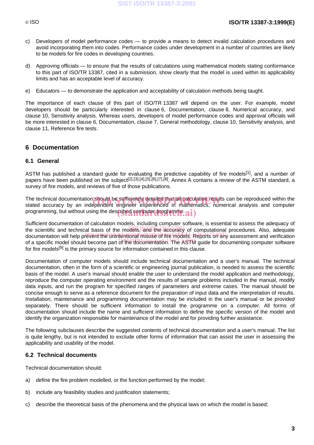# © ISO **ISO/TR 13387-3:1999(E)**

- c) Developers of model performance codes to provide a means to detect invalid calculation procedures and avoid incorporating them into codes. Performance codes under development in a number of countries are likely to be models for fire codes in developing countries.
- d) Approving officials to ensure that the results of calculations using mathematical models stating conformance to this part of ISO/TR 13387, cited in a submission, show clearly that the model is used within its applicability limits and has an acceptable level of accuracy.
- e) Educators to demonstrate the application and acceptability of calculation methods being taught.

The importance of each clause of this part of ISO/TR 13387 will depend on the user. For example, model developers should be particularly interested in clause 6, Documentation, clause 8, Numerical accuracy, and clause 10, Sensitivity analysis. Whereas users, developers of model performance codes and approval officials will be more interested in clause 6, Documentation, clause 7, General methodology, clause 10, Sensitivity analysis, and clause 11, Reference fire tests.

# **6 Documentation**

#### **6.1 General**

ASTM has published a standard quide for evaluating the predictive capability of fire models<sup>[1]</sup>, and a number of papers have been published on the subject<sup>[2],[3],[4],[5],[6],[7],[8]</sup>. Annex A contains a review of the ASTM standard, a survey of fire models, and reviews of five of those publications.

The technical documentation should be sufficiently detailed that all calculation results can be reproduced within the<br>stated accuracy by an independent engineer experienced in mathematics. numerical analysis and computer stated accuracy by an independent engineer experienced in mathematics, numerical analysis and computer programming, but without using the described computer programme.  $\mathbf{ai})$ 

Sufficient documentation of calculation models, including computer software, is essential to assess the adequacy of the scientific and technical basis of the models, and the accuracy of computational procedures. Also, adequate documentation will help prevent the unintentional misuse of fire models. Reports on any assessment and verification of a specific model should become part of the documentation. The ASTM guide for documenting computer software for fire models<sup>[9]</sup> is the primary source for information contained in this clause.

Documentation of computer models should include technical documentation and a user's manual. The technical documentation, often in the form of a scientific or engineering journal publication, is needed to assess the scientific basis of the model. A user's manual should enable the user to understand the model application and methodology, reproduce the computer operating environment and the results of sample problems included in the manual, modify data inputs, and run the program for specified ranges of parameters and extreme cases. The manual should be concise enough to serve as a reference document for the preparation of input data and the interpretation of results. Installation, maintenance and programming documentation may be included in the user's manual or be provided separately. There should be sufficient information to install the programme on a computer. All forms of documentation should include the name and sufficient information to define the specific version of the model and identify the organization responsible for maintenance of the model and for providing further assistance.

The following subclauses describe the suggested contents of technical documentation and a user's manual. The list is quite lengthy, but is not intended to exclude other forms of information that can assist the user in assessing the applicability and usability of the model.

#### **6.2 Technical documents**

Technical documentation should:

- a) define the fire problem modelled, or the function performed by the model;
- b) include any feasibility studies and justification statements;
- c) describe the theoretical basis of the phenomena and the physical laws on which the model is based;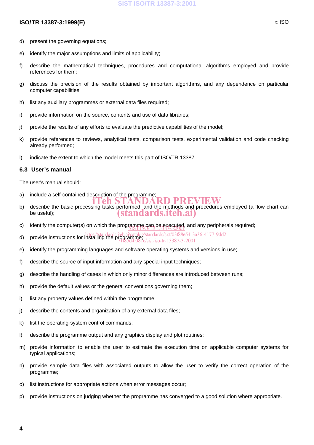### **SIST ISO/TR 13387-3:2001**

# **ISO/TR 13387-3:1999(E)** © ISO

- d) present the governing equations;
- e) identify the major assumptions and limits of applicability;
- f) describe the mathematical techniques, procedures and computational algorithms employed and provide references for them;
- g) discuss the precision of the results obtained by important algorithms, and any dependence on particular computer capabilities;
- h) list any auxiliary programmes or external data files required;
- i) provide information on the source, contents and use of data libraries;
- j) provide the results of any efforts to evaluate the predictive capabilities of the model;
- k) provide references to reviews, analytical tests, comparison tests, experimental validation and code checking already performed;
- l) indicate the extent to which the model meets this part of ISO/TR 13387.

#### **6.3 User's manual**

The user's manual should:

- a) include a self-contained description of the programme;<br> **EXPEDEDEDEDEDEDEDEDEDEDEDEDEDEDENTELY**
- describe the basic processing tasks performed, and the methods and procedures employed (a flow chart can<br>b) describe the basic processing tasks performed, and the methods and procedures employed (a flow chart can be useful); (standards.iteh.ai)
- c) identify the computer(s) on which the programme can be executed, and any peripherals required;
- d) provide instructions for installing the programme;<br>d) provide instructions for installing the programme;<br>did the mathematic and 2002.2.2001
- 71f85d4f081c/sist-iso-tr-13387-3-2001
- e) identify the programming languages and software operating systems and versions in use;
- f) describe the source of input information and any special input techniques;
- g) describe the handling of cases in which only minor differences are introduced between runs;
- h) provide the default values or the general conventions governing them;
- i) list any property values defined within the programme;
- j) describe the contents and organization of any external data files;
- k) list the operating-system control commands;
- l) describe the programme output and any graphics display and plot routines;
- m) provide information to enable the user to estimate the execution time on applicable computer systems for typical applications;
- n) provide sample data files with associated outputs to allow the user to verify the correct operation of the programme;
- o) list instructions for appropriate actions when error messages occur;
- p) provide instructions on judging whether the programme has converged to a good solution where appropriate.